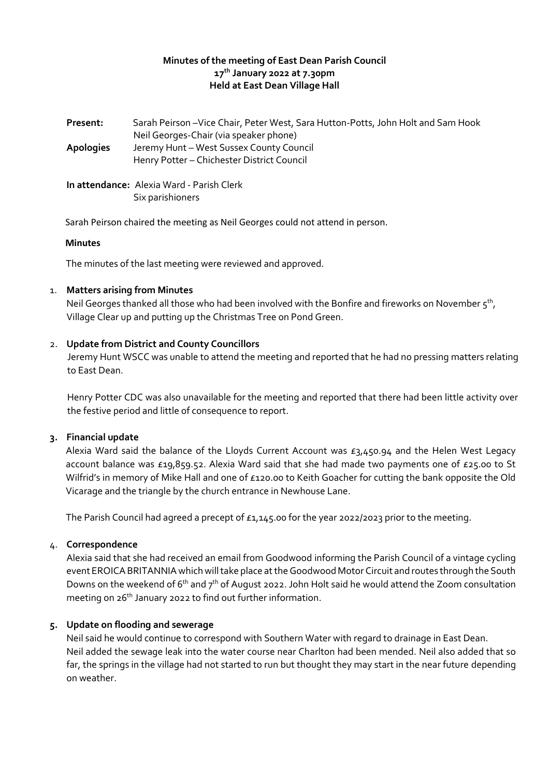#### **Minutes of the meeting of East Dean Parish Council 17th January 2022 at 7.30pm Held at East Dean Village Hall**

**Present:** Sarah Peirson –Vice Chair, Peter West, Sara Hutton-Potts, John Holt and Sam Hook Neil Georges-Chair (via speaker phone) **Apologies** Jeremy Hunt – West Sussex County Council Henry Potter – Chichester District Council **In attendance:** Alexia Ward - Parish Clerk Six parishioners

Sarah Peirson chaired the meeting as Neil Georges could not attend in person.

#### **Minutes**

The minutes of the last meeting were reviewed and approved.

## 1. **Matters arising from Minutes**

Neil Georges thanked all those who had been involved with the Bonfire and fireworks on November 5 $^{\rm th}$ , Village Clear up and putting up the Christmas Tree on Pond Green.

#### 2. **Update from District and County Councillors**

Jeremy Hunt WSCC was unable to attend the meeting and reported that he had no pressing matters relating to East Dean.

Henry Potter CDC was also unavailable for the meeting and reported that there had been little activity over the festive period and little of consequence to report.

## **3. Financial update**

Alexia Ward said the balance of the Lloyds Current Account was £3,450.94 and the Helen West Legacy account balance was £19,859.52. Alexia Ward said that she had made two payments one of £25.00 to St Wilfrid's in memory of Mike Hall and one of £120.00 to Keith Goacher for cutting the bank opposite the Old Vicarage and the triangle by the church entrance in Newhouse Lane.

The Parish Council had agreed a precept of  $£1,145.00$  for the year 2022/2023 prior to the meeting.

#### 4. **Correspondence**

Alexia said that she had received an email from Goodwood informing the Parish Council of a vintage cycling event EROICA BRITANNIA which will take place at the Goodwood Motor Circuit and routes through the South Downs on the weekend of  $6<sup>th</sup>$  and  $7<sup>th</sup>$  of August 2022. John Holt said he would attend the Zoom consultation meeting on 26<sup>th</sup> January 2022 to find out further information.

## **5. Update on flooding and sewerage**

Neil said he would continue to correspond with Southern Water with regard to drainage in East Dean. Neil added the sewage leak into the water course near Charlton had been mended. Neil also added that so far, the springs in the village had not started to run but thought they may start in the near future depending on weather.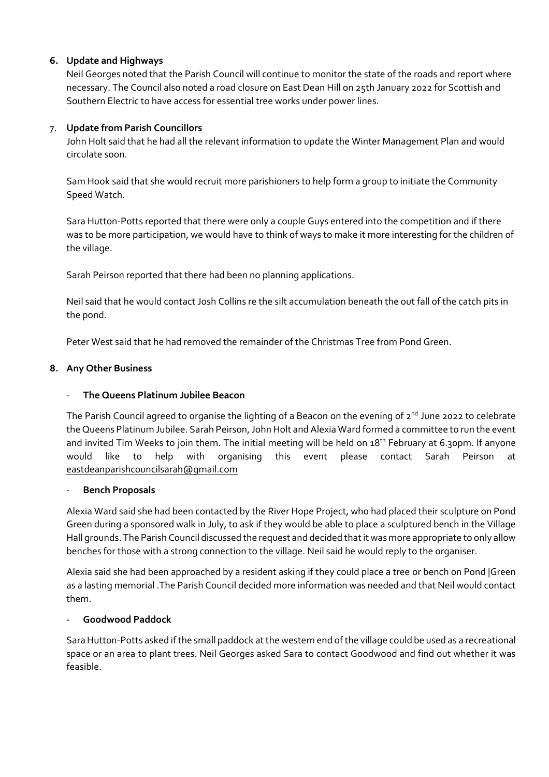## **6. Update and Highways**

Neil Georges noted that the Parish Council will continue to monitor the state of the roads and report where necessary. The Council also noted a road closure on East Dean Hill on 25th January 2022 for Scottish and Southern Electric to have access for essential tree works under power lines.

## 7. **Update from Parish Councillors**

John Holt said that he had all the relevant information to update the Winter Management Plan and would circulate soon.

Sam Hook said that she would recruit more parishioners to help form a group to initiate the Community Speed Watch.

Sara Hutton-Potts reported that there were only a couple Guys entered into the competition and if there was to be more participation, we would have to think of ways to make it more interesting for the children of the village.

Sarah Peirson reported that there had been no planning applications.

Neil said that he would contact Josh Collins re the silt accumulation beneath the out fall of the catch pits in the pond.

Peter West said that he had removed the remainder of the Christmas Tree from Pond Green.

## **8. Any Other Business**

## - **The Queens Platinum Jubilee Beacon**

The Parish Council agreed to organise the lighting of a Beacon on the evening of 2<sup>nd</sup> June 2022 to celebrate the Queens Platinum Jubilee. Sarah Peirson, John Holt and Alexia Ward formed a committee to run the event and invited Tim Weeks to join them. The initial meeting will be held on 18<sup>th</sup> February at 6.30pm. If anyone would like to help with organising this event please contact Sarah Peirson at [eastdeanparishcouncilsarah@gmail.com](mailto:eastdeanparishcouncilsarah@gmail.com)

## - **Bench Proposals**

Alexia Ward said she had been contacted by the River Hope Project, who had placed their sculpture on Pond Green during a sponsored walk in July, to ask if they would be able to place a sculptured bench in the Village Hall grounds. The Parish Council discussed the request and decided that it was more appropriate to only allow benches for those with a strong connection to the village. Neil said he would reply to the organiser.

Alexia said she had been approached by a resident asking if they could place a tree or bench on Pond |Green as a lasting memorial .The Parish Council decided more information was needed and that Neil would contact them.

## - **Goodwood Paddock**

Sara Hutton-Potts asked if the small paddock at the western end of the village could be used as a recreational space or an area to plant trees. Neil Georges asked Sara to contact Goodwood and find out whether it was feasible.